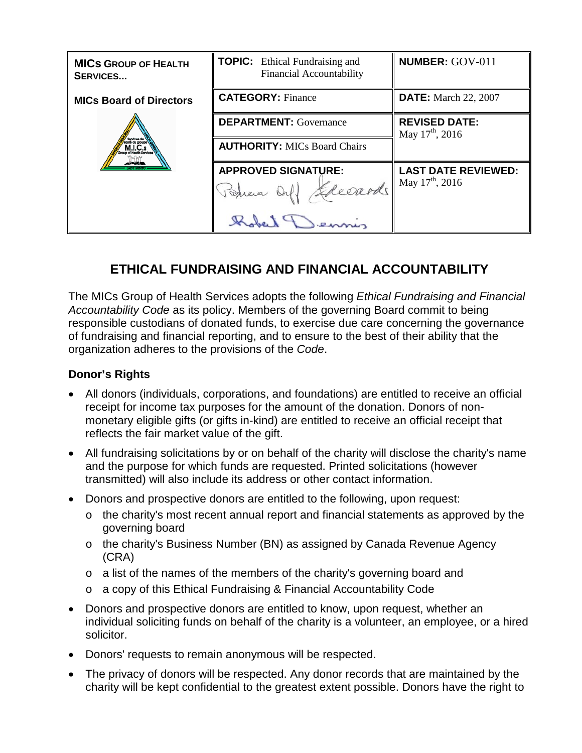| <b>MICS GROUP OF HEALTH</b><br><b>SERVICES</b> | <b>TOPIC:</b> Ethical Fundraising and<br><b>Financial Accountability</b> | <b>NUMBER: GOV-011</b>                              |
|------------------------------------------------|--------------------------------------------------------------------------|-----------------------------------------------------|
| <b>MICs Board of Directors</b>                 | <b>CATEGORY: Finance</b>                                                 | <b>DATE:</b> March 22, 2007                         |
|                                                | <b>DEPARTMENT:</b> Governance                                            | <b>REVISED DATE:</b><br>May $17^{\text{th}}$ , 2016 |
|                                                | <b>AUTHORITY: MICs Board Chairs</b>                                      |                                                     |
|                                                | <b>APPROVED SIGNATURE:</b>                                               | <b>LAST DATE REVIEWED:</b>                          |
|                                                | Petra Orl! Sheeards                                                      | May $17^{\text{th}}$ , 2016                         |
|                                                |                                                                          |                                                     |

# **ETHICAL FUNDRAISING AND FINANCIAL ACCOUNTABILITY**

The MICs Group of Health Services adopts the following *Ethical Fundraising and Financial Accountability Code* as its policy. Members of the governing Board commit to being responsible custodians of donated funds, to exercise due care concerning the governance of fundraising and financial reporting, and to ensure to the best of their ability that the organization adheres to the provisions of the *Code*.

### **Donor's Rights**

- All donors (individuals, corporations, and foundations) are entitled to receive an official receipt for income tax purposes for the amount of the donation. Donors of nonmonetary eligible gifts (or gifts in-kind) are entitled to receive an official receipt that reflects the fair market value of the gift.
- All fundraising solicitations by or on behalf of the charity will disclose the charity's name and the purpose for which funds are requested. Printed solicitations (however transmitted) will also include its address or other contact information.
- Donors and prospective donors are entitled to the following, upon request:
	- o the charity's most recent annual report and financial statements as approved by the governing board
	- o the charity's Business Number (BN) as assigned by Canada Revenue Agency (CRA)
	- o a list of the names of the members of the charity's governing board and
	- o a copy of this Ethical Fundraising & Financial Accountability Code
- Donors and prospective donors are entitled to know, upon request, whether an individual soliciting funds on behalf of the charity is a volunteer, an employee, or a hired solicitor.
- Donors' requests to remain anonymous will be respected.
- The privacy of donors will be respected. Any donor records that are maintained by the charity will be kept confidential to the greatest extent possible. Donors have the right to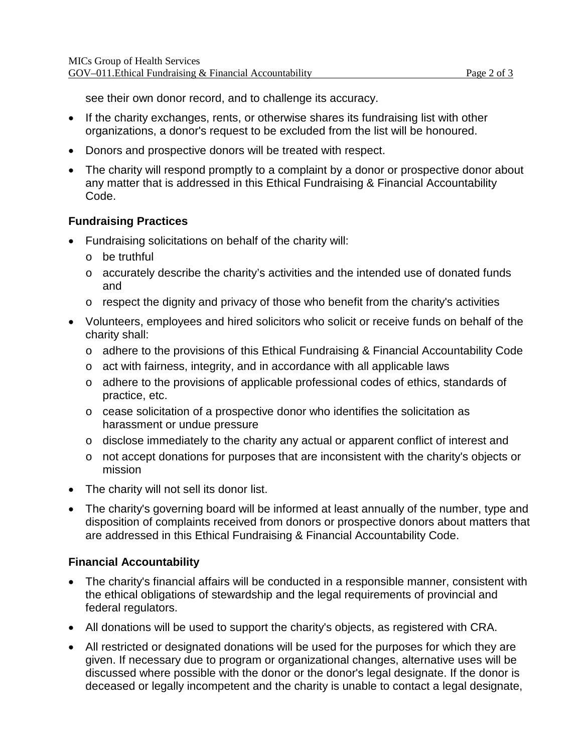see their own donor record, and to challenge its accuracy.

- If the charity exchanges, rents, or otherwise shares its fundraising list with other organizations, a donor's request to be excluded from the list will be honoured.
- Donors and prospective donors will be treated with respect.
- The charity will respond promptly to a complaint by a donor or prospective donor about any matter that is addressed in this Ethical Fundraising & Financial Accountability Code.

#### **Fundraising Practices**

- Fundraising solicitations on behalf of the charity will:
	- o be truthful
	- o accurately describe the charity's activities and the intended use of donated funds and
	- o respect the dignity and privacy of those who benefit from the charity's activities
- Volunteers, employees and hired solicitors who solicit or receive funds on behalf of the charity shall:
	- o adhere to the provisions of this Ethical Fundraising & Financial Accountability Code
	- $\circ$  act with fairness, integrity, and in accordance with all applicable laws
	- o adhere to the provisions of applicable professional codes of ethics, standards of practice, etc.
	- o cease solicitation of a prospective donor who identifies the solicitation as harassment or undue pressure
	- o disclose immediately to the charity any actual or apparent conflict of interest and
	- o not accept donations for purposes that are inconsistent with the charity's objects or mission
- The charity will not sell its donor list.
- The charity's governing board will be informed at least annually of the number, type and disposition of complaints received from donors or prospective donors about matters that are addressed in this Ethical Fundraising & Financial Accountability Code.

#### **Financial Accountability**

- The charity's financial affairs will be conducted in a responsible manner, consistent with the ethical obligations of stewardship and the legal requirements of provincial and federal regulators.
- All donations will be used to support the charity's objects, as registered with CRA.
- All restricted or designated donations will be used for the purposes for which they are given. If necessary due to program or organizational changes, alternative uses will be discussed where possible with the donor or the donor's legal designate. If the donor is deceased or legally incompetent and the charity is unable to contact a legal designate,